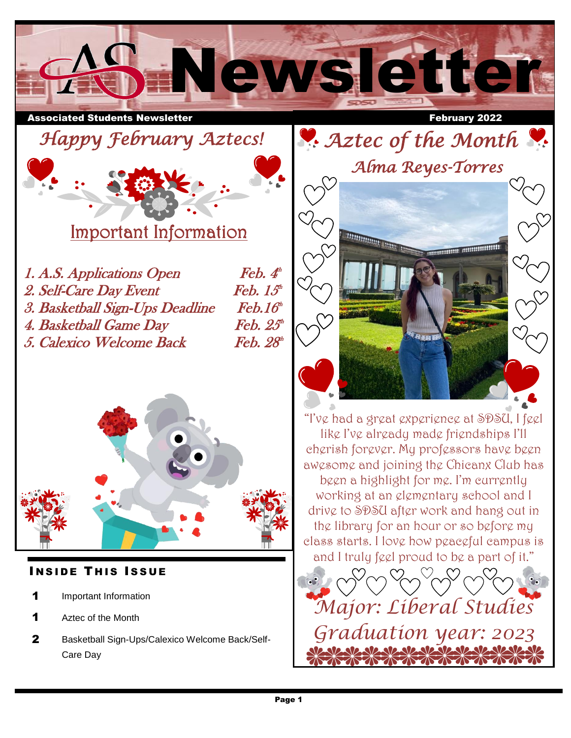

Associated Students Newsletter February 2022

 $\overline{a}$ 







Important Information

| <i>1. A.S. Applications Open</i> | $\mathbf{F}$ eb. $\mathbf{\Lambda}^n$ |
|----------------------------------|---------------------------------------|
| 2. Self-Care Day Event           | Feb. $15th$                           |
| 3. Basketball Sign-Ups Deadline  | $\mathit{Feb}.16^{\omega}$            |
| 4. Basketball Game Day           | $\mathit{Feb. } 25^{\circ}$           |
| 5. Calexico Welcome Back         | Feb. 28 <sup>th</sup>                 |
|                                  |                                       |



## **INSIDE THIS ISSUE**

- 1 Important Information
- 1 Aztec of the Month
- 2 Basketball Sign-Ups/Calexico Welcome Back/Self-Care Day